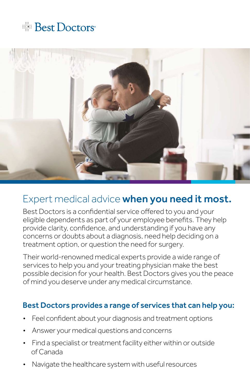# **Example Best Doctors**



## Expert medical advice **when you need it most.**

Best Doctors is a confidential service offered to you and your eligible dependents as part of your employee benefits. They help provide clarity, confidence, and understanding if you have any concerns or doubts about a diagnosis, need help deciding on a treatment option, or question the need for surgery.

Their world-renowned medical experts provide a wide range of services to help you and your treating physician make the best possible decision for your health. Best Doctors gives you the peace of mind you deserve under any medical circumstance.

#### Best Doctors provides a range of services that can help you:

- Feel confident about your diagnosis and treatment options
- Answer your medical questions and concerns
- Find a specialist or treatment facility either within or outside of Canada
- Navigate the healthcare system with useful resources